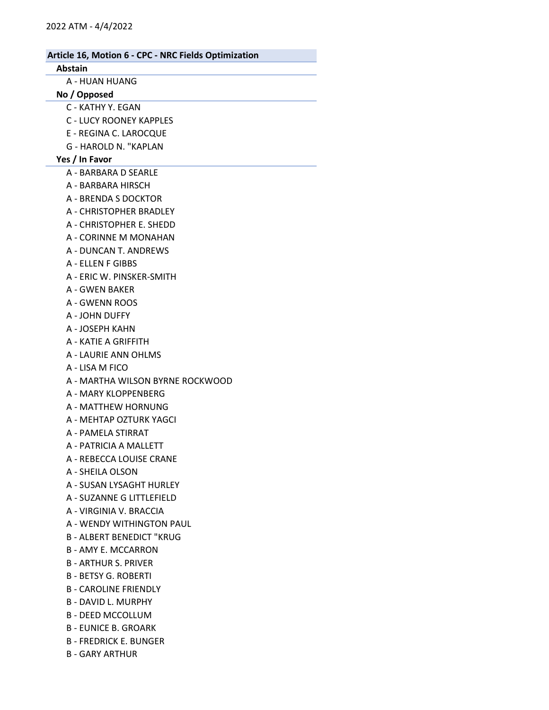# Article 16, Motion 6 - CPC - NRC Fields Optimization Abstain A - HUAN HUANG No / Opposed C - KATHY Y. EGAN C - LUCY ROONEY KAPPLES E - REGINA C. LAROCQUE G - HAROLD N. "KAPLAN Yes / In Favor A - BARBARA D SEARLE A - BARBARA HIRSCH A - BRENDA S DOCKTOR A - CHRISTOPHER BRADLEY A - CHRISTOPHER E. SHEDD A - CORINNE M MONAHAN A - DUNCAN T. ANDREWS A - ELLEN F GIBBS A - ERIC W. PINSKER-SMITH A - GWEN BAKER A - GWENN ROOS A - JOHN DUFFY A - JOSEPH KAHN A - KATIE A GRIFFITH A - LAURIE ANN OHLMS A - LISA M FICO A - MARTHA WILSON BYRNE ROCKWOOD A - MARY KLOPPENBERG A - MATTHEW HORNUNG A - MEHTAP OZTURK YAGCI A - PAMELA STIRRAT A - PATRICIA A MALLETT A - REBECCA LOUISE CRANE A - SHEILA OLSON A - SUSAN LYSAGHT HURLEY A - SUZANNE G LITTLEFIELD A - VIRGINIA V. BRACCIA A - WENDY WITHINGTON PAUL B - ALBERT BENEDICT "KRUG B - AMY E. MCCARRON B - ARTHUR S. PRIVER B - BETSY G. ROBERTI B - CAROLINE FRIENDLY B - DAVID L. MURPHY B - DEED MCCOLLUM B - EUNICE B. GROARK B - FREDRICK E. BUNGER

B - GARY ARTHUR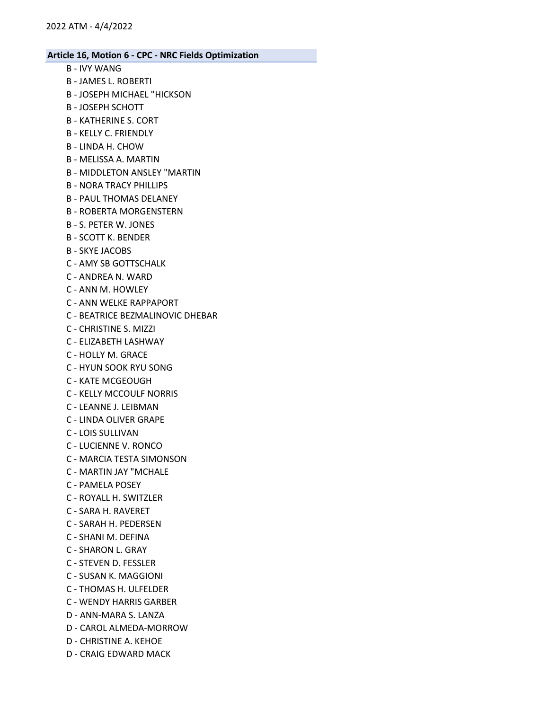- B IVY WANG
- B JAMES L. ROBERTI
- B JOSEPH MICHAEL "HICKSON
- B JOSEPH SCHOTT
- B KATHERINE S. CORT
- B KELLY C. FRIENDLY
- B LINDA H. CHOW
- B MELISSA A. MARTIN
- B MIDDLETON ANSLEY "MARTIN
- B NORA TRACY PHILLIPS
- B PAUL THOMAS DELANEY
- B ROBERTA MORGENSTERN
- B S. PETER W. JONES
- B SCOTT K. BENDER
- B SKYE JACOBS
- C AMY SB GOTTSCHALK
- C ANDREA N. WARD
- C ANN M. HOWLEY
- C ANN WELKE RAPPAPORT
- C BEATRICE BEZMALINOVIC DHEBAR
- C CHRISTINE S. MIZZI
- C ELIZABETH LASHWAY
- C HOLLY M. GRACE
- C HYUN SOOK RYU SONG
- C KATE MCGEOUGH
- C KELLY MCCOULF NORRIS
- C LEANNE J. LEIBMAN
- C LINDA OLIVER GRAPE
- C LOIS SULLIVAN
- C LUCIENNE V. RONCO
- C MARCIA TESTA SIMONSON
- C MARTIN JAY "MCHALE
- C PAMELA POSEY
- C ROYALL H. SWITZLER
- C SARA H. RAVERET
- C SARAH H. PEDERSEN
- C SHANI M. DEFINA
- C SHARON L. GRAY
- C STEVEN D. FESSLER
- C SUSAN K. MAGGIONI
- C THOMAS H. ULFELDER
- C WENDY HARRIS GARBER
- D ANN-MARA S. LANZA
- D CAROL ALMEDA-MORROW
- D CHRISTINE A. KEHOE
- D CRAIG EDWARD MACK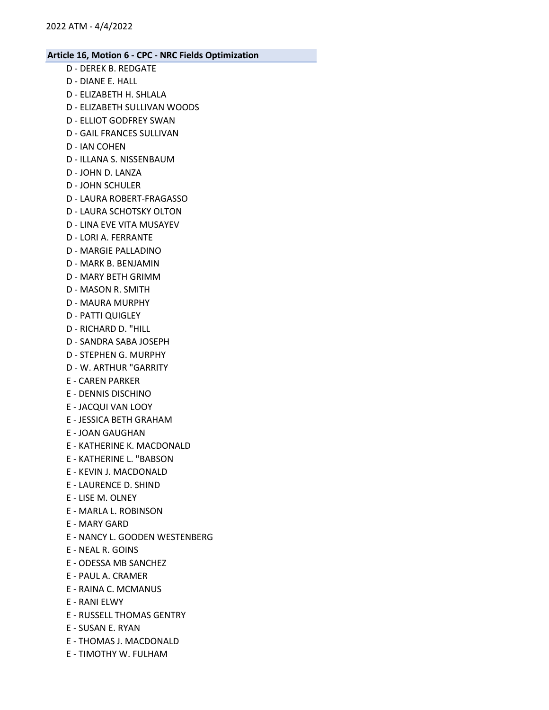- D DEREK B. REDGATE D - DIANE E. HALL
- D ELIZABETH H. SHLALA
- D ELIZABETH SULLIVAN WOODS
- D ELLIOT GODFREY SWAN
- D GAIL FRANCES SULLIVAN
- D IAN COHEN
- D ILLANA S. NISSENBAUM
- D JOHN D. LANZA
- D JOHN SCHULER
- D LAURA ROBERT-FRAGASSO
- D LAURA SCHOTSKY OLTON
- D LINA EVE VITA MUSAYEV
- D LORI A. FERRANTE
- D MARGIE PALLADINO
- D MARK B. BENJAMIN
- D MARY BETH GRIMM
- D MASON R. SMITH
- D MAURA MURPHY
- D PATTI QUIGLEY
- D RICHARD D. "HILL
- D SANDRA SABA JOSEPH
- D STEPHEN G. MURPHY
- D W. ARTHUR "GARRITY
- E CAREN PARKER
- E DENNIS DISCHINO
- E JACQUI VAN LOOY
- E JESSICA BETH GRAHAM
- E JOAN GAUGHAN
- E KATHERINE K. MACDONALD
- E KATHERINE L. "BABSON
- E KEVIN J. MACDONALD
- E LAURENCE D. SHIND
- E LISE M. OLNEY
- E MARLA L. ROBINSON
- E MARY GARD
- E NANCY L. GOODEN WESTENBERG
- E NEAL R. GOINS
- E ODESSA MB SANCHEZ
- E PAUL A. CRAMER
- E RAINA C. MCMANUS
- E RANI ELWY
- E RUSSELL THOMAS GENTRY
- E SUSAN E. RYAN
- E THOMAS J. MACDONALD
- E TIMOTHY W. FULHAM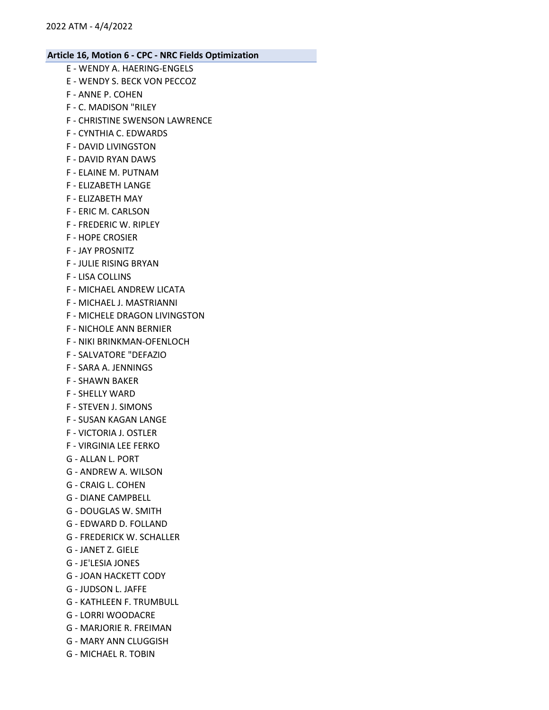- E WENDY A. HAERING-ENGELS E - WENDY S. BECK VON PECCOZ F - ANNE P. COHEN F - C. MADISON "RILEY F - CHRISTINE SWENSON LAWRENCE F - CYNTHIA C. EDWARDS F - DAVID LIVINGSTON F - DAVID RYAN DAWS F - ELAINE M. PUTNAM F - ELIZABETH LANGE F - ELIZABETH MAY F - ERIC M. CARLSON
	- F FREDERIC W. RIPLEY
	- F HOPE CROSIER
	- F JAY PROSNITZ
	- F JULIE RISING BRYAN
	- F LISA COLLINS
	- F MICHAEL ANDREW LICATA
	- F MICHAEL J. MASTRIANNI
	- F MICHELE DRAGON LIVINGSTON
	- F NICHOLE ANN BERNIER
	- F NIKI BRINKMAN-OFENLOCH
	- F SALVATORE "DEFAZIO
	- F SARA A. JENNINGS
	- F SHAWN BAKER
	- F SHELLY WARD
	- F STEVEN J. SIMONS
	- F SUSAN KAGAN LANGE
	- F VICTORIA J. OSTLER
	- F VIRGINIA LEE FERKO
	- G ALLAN L. PORT
	- G ANDREW A. WILSON
	- G CRAIG L. COHEN
	- G DIANE CAMPBELL
	- G DOUGLAS W. SMITH
	- G EDWARD D. FOLLAND
	- G FREDERICK W. SCHALLER
	- G JANET Z. GIELE
	- G JE'LESIA JONES
	- G JOAN HACKETT CODY
	- G JUDSON L. JAFFE
	- G KATHLEEN F. TRUMBULL
	- G LORRI WOODACRE
	- G MARJORIE R. FREIMAN
	- G MARY ANN CLUGGISH
	- G MICHAEL R. TOBIN